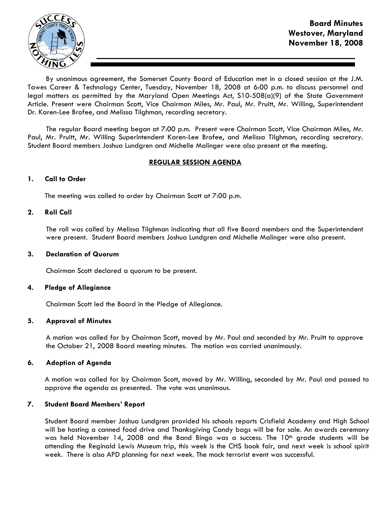

By unanimous agreement, the Somerset County Board of Education met in a closed session at the J.M. Tawes Career & Technology Center, Tuesday, November 18, 2008 at 6:00 p.m. to discuss personnel and legal matters as permitted by the Maryland Open Meetings Act, S10-508(a)(9) of the State Government Article. Present were Chairman Scott, Vice Chairman Miles, Mr. Paul, Mr. Pruitt, Mr. Willing, Superintendent Dr. Karen-Lee Brofee, and Melissa Tilghman, recording secretary.

The regular Board meeting began at 7:00 p.m. Present were Chairman Scott, Vice Chairman Miles, Mr. Paul, Mr. Pruitt, Mr. Willing Superintendent Karen-Lee Brofee, and Melissa Tilghman, recording secretary. Student Board members Joshua Lundgren and Michelle Malinger were also present at the meeting.

# REGULAR SESSION AGENDA

## 1. Call to Order

The meeting was called to order by Chairman Scott at 7:00 p.m.

# 2. Roll Call

The roll was called by Melissa Tilghman indicating that all five Board members and the Superintendent were present. Student Board members Joshua Lundgren and Michelle Malinger were also present.

## 3. Declaration of Quorum

Chairman Scott declared a quorum to be present.

## 4. Pledge of Allegiance

Chairman Scott led the Board in the Pledge of Allegiance.

## 5. Approval of Minutes

A motion was called for by Chairman Scott, moved by Mr. Paul and seconded by Mr. Pruitt to approve the October 21, 2008 Board meeting minutes. The motion was carried unanimously.

## 6. Adoption of Agenda

 A motion was called for by Chairman Scott, moved by Mr. Willing, seconded by Mr. Paul and passed to approve the agenda as presented. The vote was unanimous.

## 7. Student Board Members' Report

Student Board member Joshua Lundgren provided his schools reports Crisfield Academy and High School will be hosting a canned food drive and Thanksgiving Candy bags will be for sale. An awards ceremony was held November 14, 2008 and the Band Bingo was a success. The  $10<sup>th</sup>$  grade students will be attending the Reginald Lewis Museum trip, this week is the CHS book fair, and next week is school spirit week. There is also APD planning for next week. The mock terrorist event was successful.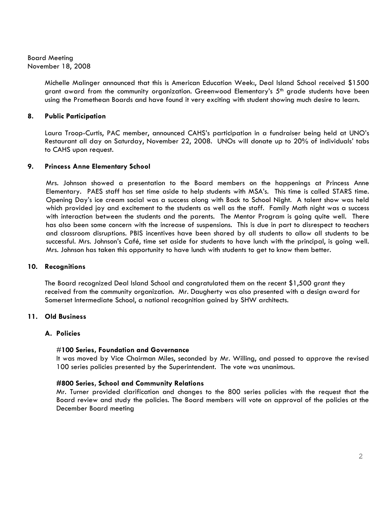> Michelle Malinger announced that this is American Education Week:, Deal Island School received \$1500 grant award from the community organization. Greenwood Elementary's 5<sup>th</sup> grade students have been using the Promethean Boards and have found it very exciting with student showing much desire to learn.

# 8. Public Participation

Laura Troop-Curtis, PAC member, announced CAHS's participation in a fundraiser being held at UNO's Restaurant all day on Saturday, November 22, 2008. UNOs will donate up to 20% of individuals' tabs to CAHS upon request.

## 9. Princess Anne Elementary School

 Mrs. Johnson showed a presentation to the Board members on the happenings at Princess Anne Elementary. PAES staff has set time aside to help students with MSA's. This time is called STARS time. Opening Day's ice cream social was a success along with Back to School Night. A talent show was held which provided joy and excitement to the students as well as the staff. Family Math night was a success with interaction between the students and the parents. The Mentor Program is going quite well. There has also been some concern with the increase of suspensions. This is due in part to disrespect to teachers and classroom disruptions. PBIS incentives have been shared by all students to allow all students to be successful. Mrs. Johnson's Café, time set aside for students to have lunch with the principal, is going well. Mrs. Johnson has taken this opportunity to have lunch with students to get to know them better.

## 10. Recognitions

The Board recognized Deal Island School and congratulated them on the recent \$1,500 grant they received from the community organization. Mr. Daugherty was also presented with a design award for Somerset Intermediate School, a national recognition gained by SHW architects.

# 11. Old Business

## A. Policies

## #100 Series, Foundation and Governance

It was moved by Vice Chairman Miles, seconded by Mr. Willing, and passed to approve the revised 100 series policies presented by the Superintendent. The vote was unanimous.

## #800 Series, School and Community Relations

Mr. Turner provided clarification and changes to the 800 series policies with the request that the Board review and study the policies. The Board members will vote on approval of the policies at the December Board meeting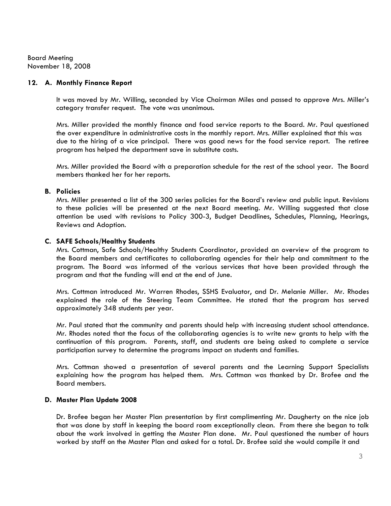## 12. A. Monthly Finance Report

It was moved by Mr. Willing, seconded by Vice Chairman Miles and passed to approve Mrs. Miller's category transfer request. The vote was unanimous.

Mrs. Miller provided the monthly finance and food service reports to the Board. Mr. Paul questioned the over expenditure in administrative costs in the monthly report. Mrs. Miller explained that this was due to the hiring of a vice principal. There was good news for the food service report. The retiree program has helped the department save in substitute costs.

Mrs. Miller provided the Board with a preparation schedule for the rest of the school year. The Board members thanked her for her reports.

### B. Policies

Mrs. Miller presented a list of the 300 series policies for the Board's review and public input. Revisions to these policies will be presented at the next Board meeting. Mr. Willing suggested that close attention be used with revisions to Policy 300-3, Budget Deadlines, Schedules, Planning, Hearings, Reviews and Adoption.

### C. SAFE Schools/Healthy Students

Mrs. Cottman, Safe Schools/Healthy Students Coordinator, provided an overview of the program to the Board members and certificates to collaborating agencies for their help and commitment to the program. The Board was informed of the various services that have been provided through the program and that the funding will end at the end of June.

Mrs. Cottman introduced Mr. Warren Rhodes, SSHS Evaluator, and Dr. Melanie Miller. Mr. Rhodes explained the role of the Steering Team Committee. He stated that the program has served approximately 348 students per year.

Mr. Paul stated that the community and parents should help with increasing student school attendance. Mr. Rhodes noted that the focus of the collaborating agencies is to write new grants to help with the continuation of this program. Parents, staff, and students are being asked to complete a service participation survey to determine the programs impact on students and families.

Mrs. Cottman showed a presentation of several parents and the Learning Support Specialists explaining how the program has helped them. Mrs. Cottman was thanked by Dr. Brofee and the Board members.

## D. Master Plan Update 2008

Dr. Brofee began her Master Plan presentation by first complimenting Mr. Daugherty on the nice job that was done by staff in keeping the board room exceptionally clean. From there she began to talk about the work involved in getting the Master Plan done. Mr. Paul questioned the number of hours worked by staff on the Master Plan and asked for a total. Dr. Brofee said she would compile it and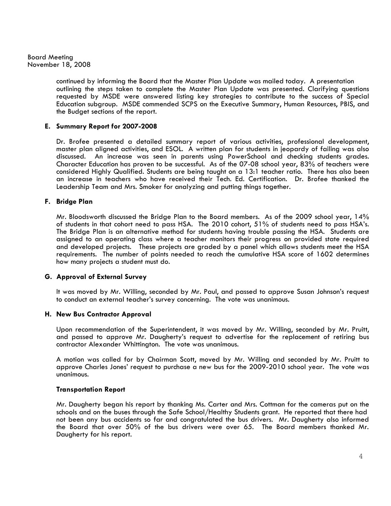> continued by informing the Board that the Master Plan Update was mailed today. A presentation outlining the steps taken to complete the Master Plan Update was presented. Clarifying questions requested by MSDE were answered listing key strategies to contribute to the success of Special Education subgroup. MSDE commended SCPS on the Executive Summary, Human Resources, PBIS, and the Budget sections of the report.

### E. Summary Report for 2007-2008

Dr. Brofee presented a detailed summary report of various activities, professional development, master plan aligned activities, and ESOL. A written plan for students in jeopardy of failing was also discussed. An increase was seen in parents using PowerSchool and checking students grades. Character Education has proven to be successful. As of the 07-08 school year, 83% of teachers were considered Highly Qualified. Students are being taught on a 13:1 teacher ratio. There has also been an increase in teachers who have received their Tech. Ed. Certification. Dr. Brofee thanked the Leadership Team and Mrs. Smoker for analyzing and putting things together.

### F. Bridge Plan

Mr. Bloodsworth discussed the Bridge Plan to the Board members. As of the 2009 school year, 14% of students in that cohort need to pass HSA. The 2010 cohort, 51% of students need to pass HSA's. The Bridge Plan is an alternative method for students having trouble passing the HSA. Students are assigned to an operating class where a teacher monitors their progress on provided state required and developed projects. These projects are graded by a panel which allows students meet the HSA requirements. The number of points needed to reach the cumulative HSA score of 1602 determines how many projects a student must do.

#### G. Approval of External Survey

It was moved by Mr. Willing, seconded by Mr. Paul, and passed to approve Susan Johnson's request to conduct an external teacher's survey concerning. The vote was unanimous.

#### H. New Bus Contractor Approval

Upon recommendation of the Superintendent, it was moved by Mr. Willing, seconded by Mr. Pruitt, and passed to approve Mr. Daugherty's request to advertise for the replacement of retiring bus contractor Alexander Whittington. The vote was unanimous.

A motion was called for by Chairman Scott, moved by Mr. Willing and seconded by Mr. Pruitt to approve Charles Jones' request to purchase a new bus for the 2009-2010 school year. The vote was unanimous.

#### Transportation Report

 Mr. Daugherty began his report by thanking Ms. Carter and Mrs. Cottman for the cameras put on the schools and on the buses through the Safe School/Healthy Students grant. He reported that there had not been any bus accidents so far and congratulated the bus drivers. Mr. Daugherty also informed the Board that over 50% of the bus drivers were over 65. The Board members thanked Mr. Daugherty for his report.